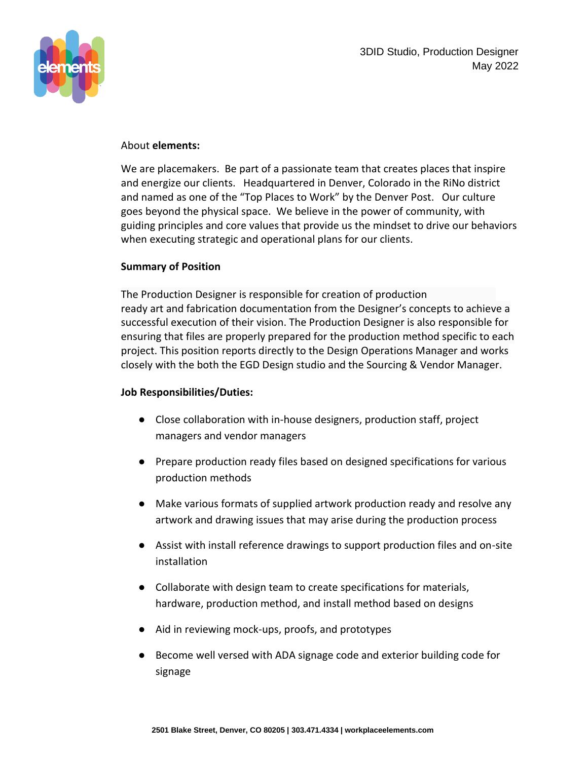

#### About **elements:**

We are placemakers. Be part of a passionate team that creates places that inspire and energize our clients. Headquartered in Denver, Colorado in the RiNo district and named as one of the "Top Places to Work" by the Denver Post. Our culture goes beyond the physical space. We believe in the power of community, with guiding principles and core values that provide us the mindset to drive our behaviors when executing strategic and operational plans for our clients.

#### **Summary of Position**

The Production Designer is responsible for creation of production ready art and fabrication documentation from the Designer's concepts to achieve a successful execution of their vision. The Production Designer is also responsible for ensuring that files are properly prepared for the production method specific to each project. This position reports directly to the Design Operations Manager and works closely with the both the EGD Design studio and the Sourcing & Vendor Manager.

### **Job Responsibilities/Duties:**

- Close collaboration with in-house designers, production staff, project managers and vendor managers
- Prepare production ready files based on designed specifications for various production methods
- Make various formats of supplied artwork production ready and resolve any artwork and drawing issues that may arise during the production process
- Assist with install reference drawings to support production files and on-site installation
- Collaborate with design team to create specifications for materials, hardware, production method, and install method based on designs
- Aid in reviewing mock-ups, proofs, and prototypes
- Become well versed with ADA signage code and exterior building code for signage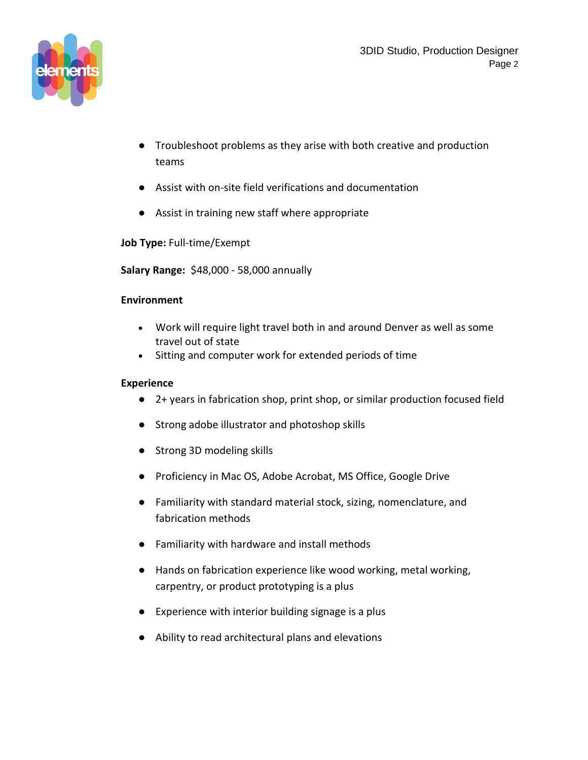

- Troubleshoot problems as they arise with both creative and production teams
- Assist with on-site field verifications and documentation
- Assist in training new staff where appropriate

# **Job Type:** Full-time/Exempt

**Salary Range:** \$48,000 - 58,000 annually

### **Environment**

- Work will require light travel both in and around Denver as well as some travel out of state
- Sitting and computer work for extended periods of time

## **Experience**

- 2+ years in fabrication shop, print shop, or similar production focused field
- Strong adobe illustrator and photoshop skills
- Strong 3D modeling skills
- Proficiency in Mac OS, Adobe Acrobat, MS Office, Google Drive
- Familiarity with standard material stock, sizing, nomenclature, and fabrication methods
- Familiarity with hardware and install methods
- Hands on fabrication experience like wood working, metal working, carpentry, or product prototyping is a plus
- Experience with interior building signage is a plus
- Ability to read architectural plans and elevations